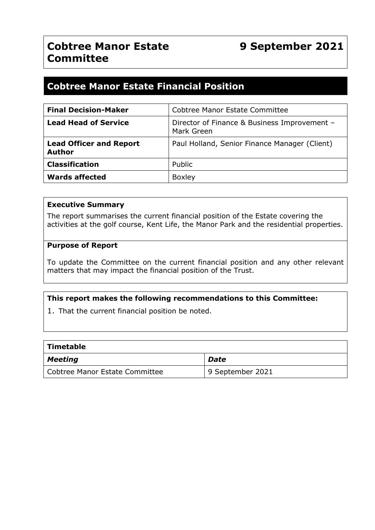# **Cobtree Manor Estate Financial Position**

| <b>Final Decision-Maker</b>                     | Cobtree Manor Estate Committee                             |  |  |
|-------------------------------------------------|------------------------------------------------------------|--|--|
| <b>Lead Head of Service</b>                     | Director of Finance & Business Improvement -<br>Mark Green |  |  |
| <b>Lead Officer and Report</b><br><b>Author</b> | Paul Holland, Senior Finance Manager (Client)              |  |  |
| <b>Classification</b>                           | Public                                                     |  |  |
| <b>Wards affected</b>                           | <b>Boxley</b>                                              |  |  |

#### **Executive Summary**

The report summarises the current financial position of the Estate covering the activities at the golf course, Kent Life, the Manor Park and the residential properties.

#### **Purpose of Report**

To update the Committee on the current financial position and any other relevant matters that may impact the financial position of the Trust.

#### **This report makes the following recommendations to this Committee:**

1. That the current financial position be noted.

| Timetable                      |                  |  |  |  |  |
|--------------------------------|------------------|--|--|--|--|
| <b>Meeting</b>                 | Date             |  |  |  |  |
| Cobtree Manor Estate Committee | 9 September 2021 |  |  |  |  |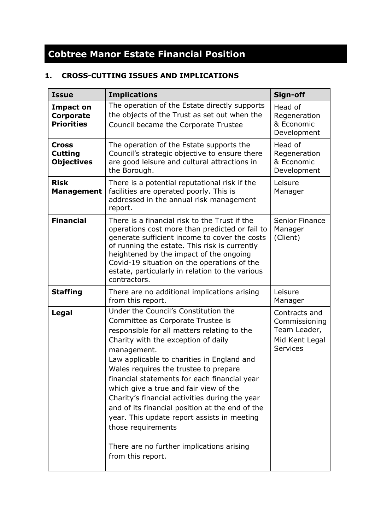# **Cobtree Manor Estate Financial Position**

## **1. CROSS-CUTTING ISSUES AND IMPLICATIONS**

| <b>Issue</b>                                        | <b>Implications</b>                                                                                                                                                                                                                                                                                                                                                                                                                                                                                                                                                                                         | Sign-off                                                                            |
|-----------------------------------------------------|-------------------------------------------------------------------------------------------------------------------------------------------------------------------------------------------------------------------------------------------------------------------------------------------------------------------------------------------------------------------------------------------------------------------------------------------------------------------------------------------------------------------------------------------------------------------------------------------------------------|-------------------------------------------------------------------------------------|
| Impact on<br><b>Corporate</b><br><b>Priorities</b>  | The operation of the Estate directly supports<br>the objects of the Trust as set out when the<br>Council became the Corporate Trustee                                                                                                                                                                                                                                                                                                                                                                                                                                                                       | Head of<br>Regeneration<br>& Economic<br>Development                                |
| <b>Cross</b><br><b>Cutting</b><br><b>Objectives</b> | The operation of the Estate supports the<br>Council's strategic objective to ensure there<br>are good leisure and cultural attractions in<br>the Borough.                                                                                                                                                                                                                                                                                                                                                                                                                                                   | Head of<br>Regeneration<br>& Economic<br>Development                                |
| <b>Risk</b><br><b>Management</b>                    | There is a potential reputational risk if the<br>facilities are operated poorly. This is<br>addressed in the annual risk management<br>report.                                                                                                                                                                                                                                                                                                                                                                                                                                                              | Leisure<br>Manager                                                                  |
| <b>Financial</b>                                    | There is a financial risk to the Trust if the<br>operations cost more than predicted or fail to<br>generate sufficient income to cover the costs<br>of running the estate. This risk is currently<br>heightened by the impact of the ongoing<br>Covid-19 situation on the operations of the<br>estate, particularly in relation to the various<br>contractors.                                                                                                                                                                                                                                              | <b>Senior Finance</b><br>Manager<br>(Client)                                        |
| <b>Staffing</b>                                     | There are no additional implications arising<br>from this report.                                                                                                                                                                                                                                                                                                                                                                                                                                                                                                                                           | Leisure<br>Manager                                                                  |
| <b>Legal</b>                                        | Under the Council's Constitution the<br>Committee as Corporate Trustee is<br>responsible for all matters relating to the<br>Charity with the exception of daily<br>management.<br>Law applicable to charities in England and<br>Wales requires the trustee to prepare<br>financial statements for each financial year<br>which give a true and fair view of the<br>Charity's financial activities during the year<br>and of its financial position at the end of the<br>year. This update report assists in meeting<br>those requirements<br>There are no further implications arising<br>from this report. | Contracts and<br>Commissioning<br>Team Leader,<br>Mid Kent Legal<br><b>Services</b> |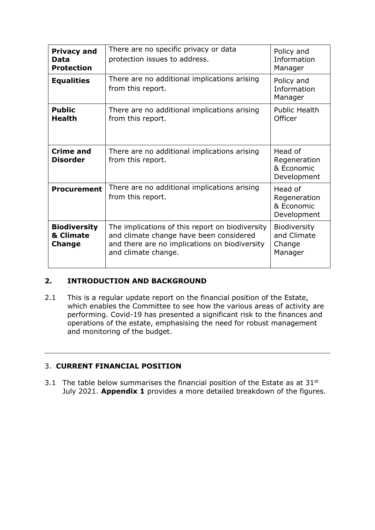| <b>Privacy and</b><br>Data<br><b>Protection</b>   | There are no specific privacy or data<br>protection issues to address.                                                                                             | Policy and<br>Information<br>Manager                 |
|---------------------------------------------------|--------------------------------------------------------------------------------------------------------------------------------------------------------------------|------------------------------------------------------|
| <b>Equalities</b>                                 | There are no additional implications arising<br>from this report.                                                                                                  | Policy and<br>Information<br>Manager                 |
| <b>Public</b><br><b>Health</b>                    | There are no additional implications arising<br>from this report.                                                                                                  | <b>Public Health</b><br>Officer                      |
| Crime and<br><b>Disorder</b>                      | There are no additional implications arising<br>from this report.                                                                                                  | Head of<br>Regeneration<br>& Economic<br>Development |
| <b>Procurement</b>                                | There are no additional implications arising<br>from this report.                                                                                                  | Head of<br>Regeneration<br>& Economic<br>Development |
| <b>Biodiversity</b><br>& Climate<br><b>Change</b> | The implications of this report on biodiversity<br>and climate change have been considered<br>and there are no implications on biodiversity<br>and climate change. | Biodiversity<br>and Climate<br>Change<br>Manager     |

### **2. INTRODUCTION AND BACKGROUND**

2.1 This is a regular update report on the financial position of the Estate, which enables the Committee to see how the various areas of activity are performing. Covid-19 has presented a significant risk to the finances and operations of the estate, emphasising the need for robust management and monitoring of the budget.

#### 3. **CURRENT FINANCIAL POSITION**

3.1 The table below summarises the financial position of the Estate as at  $31^{st}$ July 2021. **Appendix 1** provides a more detailed breakdown of the figures.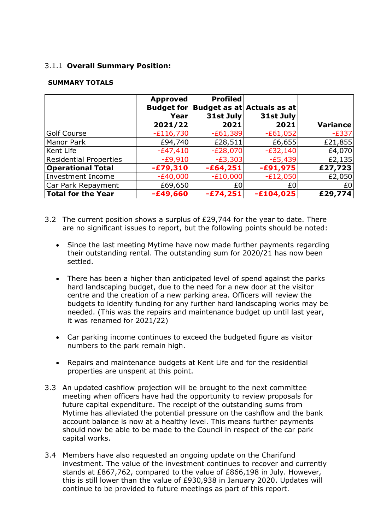#### 3.1.1 **Overall Summary Position:**

#### **SUMMARY TOTALS**

|                               | <b>Approved</b>   | <b>Profiled</b> |                            |          |
|-------------------------------|-------------------|-----------------|----------------------------|----------|
|                               | <b>Budget for</b> |                 | Budget as at Actuals as at |          |
|                               | Year              | 31st July       | 31st July                  |          |
|                               | 2021/22           | 2021            | 2021                       | Variance |
| Golf Course                   | $-E116,730$       | $-E61,389$      | $-E61,052$                 | $-E337$  |
| Manor Park                    | £94,740           | £28,511         | £6,655                     | £21,855  |
| Kent Life                     | $-E47,410$        | $-E28,070$      | $-E32,140$                 | £4,070   |
| <b>Residential Properties</b> | $-E9,910$         | $-E3,303$       | $-E5,439$                  | £2,135   |
| <b>Operational Total</b>      | $-£79,310$        | $-£64,251$      | $-£91,975$                 | £27,723  |
| <b>Investment Income</b>      | $-E40,000$        | $-E10,000$      | $-E12,050$                 | £2,050   |
| Car Park Repayment            | £69,650           | £0              | £0                         | £0       |
| Total for the Year            | $-£49,660$        | $-£74, 251$     | $-£104,025$                | £29,774  |

- 3.2 The current position shows a surplus of £29,744 for the year to date. There are no significant issues to report, but the following points should be noted:
	- Since the last meeting Mytime have now made further payments regarding their outstanding rental. The outstanding sum for 2020/21 has now been settled.
	- There has been a higher than anticipated level of spend against the parks hard landscaping budget, due to the need for a new door at the visitor centre and the creation of a new parking area. Officers will review the budgets to identify funding for any further hard landscaping works may be needed. (This was the repairs and maintenance budget up until last year, it was renamed for 2021/22)
	- Car parking income continues to exceed the budgeted figure as visitor numbers to the park remain high.
	- Repairs and maintenance budgets at Kent Life and for the residential properties are unspent at this point.
- 3.3 An updated cashflow projection will be brought to the next committee meeting when officers have had the opportunity to review proposals for future capital expenditure. The receipt of the outstanding sums from Mytime has alleviated the potential pressure on the cashflow and the bank account balance is now at a healthy level. This means further payments should now be able to be made to the Council in respect of the car park capital works.
- 3.4 Members have also requested an ongoing update on the Charifund investment. The value of the investment continues to recover and currently stands at £867,762, compared to the value of £866,198 in July. However, this is still lower than the value of £930,938 in January 2020. Updates will continue to be provided to future meetings as part of this report.